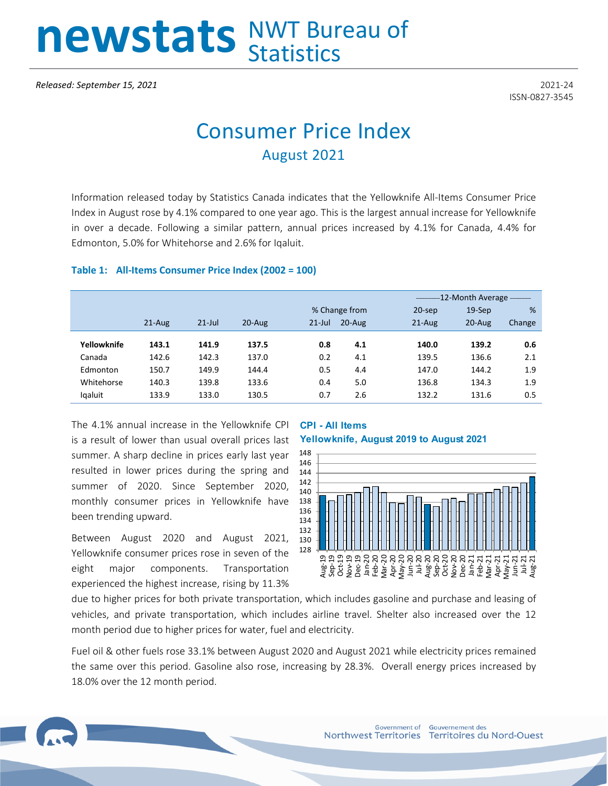# newstats NWT Bureau of

ISSN-0827-3545

## Consumer Price Index August 2021

Information released today by Statistics Canada indicates that the Yellowknife All-Items Consumer Price Index in August rose by 4.1% compared to one year ago. This is the largest annual increase for Yellowknife in over a decade. Following a similar pattern, annual prices increased by 4.1% for Canada, 4.4% for Edmonton, 5.0% for Whitehorse and 2.6% for Iqaluit.

#### **Table 1: All-Items Consumer Price Index (2002 = 100)**

|             |            |           |        |           |               |           | -12-Month Average - |        |  |
|-------------|------------|-----------|--------|-----------|---------------|-----------|---------------------|--------|--|
|             |            |           |        |           | % Change from | $20$ -sep | $19-$ Sep           | %      |  |
|             | $21 - Aug$ | $21$ -Jul | 20-Aug | $21$ -Jul | $20 - Aug$    | $21-Aug$  | 20-Aug              | Change |  |
|             |            |           |        |           |               |           |                     |        |  |
| Yellowknife | 143.1      | 141.9     | 137.5  | 0.8       | 4.1           | 140.0     | 139.2               | 0.6    |  |
| Canada      | 142.6      | 142.3     | 137.0  | 0.2       | 4.1           | 139.5     | 136.6               | 2.1    |  |
| Edmonton    | 150.7      | 149.9     | 144.4  | 0.5       | 4.4           | 147.0     | 144.2               | 1.9    |  |
| Whitehorse  | 140.3      | 139.8     | 133.6  | 0.4       | 5.0           | 136.8     | 134.3               | 1.9    |  |
| lgaluit     | 133.9      | 133.0     | 130.5  | 0.7       | 2.6           | 132.2     | 131.6               | 0.5    |  |
|             |            |           |        |           |               |           |                     |        |  |

The 4.1% annual increase in the Yellowknife CPI is a result of lower than usual overall prices last summer. A sharp decline in prices early last year resulted in lower prices during the spring and summer of 2020. Since September 2020, monthly consumer prices in Yellowknife have been trending upward.

Between August 2020 and August 2021, Yellowknife consumer prices rose in seven of the eight major components. Transportation experienced the highest increase, rising by 11.3%

### **CPI - All Items Yellowknife, August 2019 to August 2021**



due to higher prices for both private transportation, which includes gasoline and purchase and leasing of vehicles, and private transportation, which includes airline travel. Shelter also increased over the 12 month period due to higher prices for water, fuel and electricity.

Fuel oil & other fuels rose 33.1% between August 2020 and August 2021 while electricity prices remained the same over this period. Gasoline also rose, increasing by 28.3%. Overall energy prices increased by 18.0% over the 12 month period.